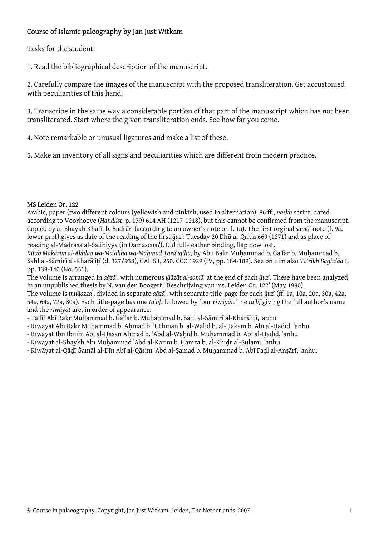## Course of Islamic paleography by Jan Just Witkam

Tasks for the student:

1. Read the bibliographical description of the manuscript.

2. Carefully compare the images of the manuscript with the proposed transliteration. Get accustomed with peculiarities of this hand.

3. Transcribe in the same way a considerable portion of that part of the manuscript which has not been transliterated. Start where the given transliteration ends. See how far you come.

4. Note remarkable or unusual ligatures and make a list of these.

5. Make an inventory of all signs and peculiarities which are different from modern practice.

## MS Leiden Or. 122

Arabic, paper (two different colours (yellowish and pinkish, used in alternation), 86 ff., *naskh* script, dated according to Voorhoeve (*Handlist*, p. 179) 614 AH (1217-1218), but this cannot be confirmed from the manuscript. Copied by al-Shaykh Khalīl b. Badrān (according to an owner's note on f. 1a). The first orginal *samāʿ* note (f. 9a, lower part) gives as date of the reading of the first *ǧuzʾ*: Tuesday 20 Dhū al-Qaʿda 669 (1271) and as place of reading al-Madrasa al-Salihiyya (in Damascus?). Old full-leather binding, flap now lost.

Kitāb Makārim al-Akhlāq wa-Maʿālīhā wa-Mahmūd Tarāʾiqihā, by Abū Bakr Muhammad b. Ğaʿfar b. Muhammad b. Sahl al-Sāmirī al-Kharāʾiṭī (d. 327/938), GAL S I, 250. CCO 1929 (IV, pp. 184-189). See on him also *Taʾrīkh Baghdād* I, pp. 139-140 (No. 551).

The volume is arranged in *aǧzāʾ*, with numerous *iǧāzāt al-samāʿ* at the end of each *ǧuzʾ*. These have been analyzed in an unpublished thesis by N. van den Boogert, 'Beschrijving van ms. Leiden Or. 122' (May 1990).

The volume is *muǧazza*ʾ, divided in separate *aǧzā*ʾ, with separate title-page for each *ǧuz*ʾ (ff. 1a, 10a, 20a, 30a, 42a, 54a, 64a, 72a, 80a). Each title-page has one *taʾlīf*, followed by four *riwāyāt*. The *taʾlīf* giving the full author's name and the *riwāyāt* are, in order of appearance:

- Taʾlīf Abī Bakr Muḥammad b. Ǧaʿfar b. Muḥammad b. Sahl al-Sāmirī al-Kharāʾiṭī, ʿanhu
- Riwāyat Abī Bakr Muhammad b. Ahmad b. ʿUthmān b. al-Walīd b. al-Hakam b. Abī al-Hadīd, ʿanhu
- Riwāyat Ibn Ibnihi Abī al-Ḥasan Aḥmad b. ʿAbd al-Wāḥid b. Muḥammad b. Abī al-Ḥadīd, ʿanhu
- Riwāyat al-Shaykh Abī Muḥammad ʿAbd al-Karīm b. Ḥamza b. al-Khiḍr al-Sulamī, ʿanhu
- Riwāyat al-Qāḍī Ǧamāl al-Dīn Abī al-Qāsim ʿAbd al-Ṣamad b. Muḥammad b. Abī Faḍl al-Anṣārī, ʿanhu.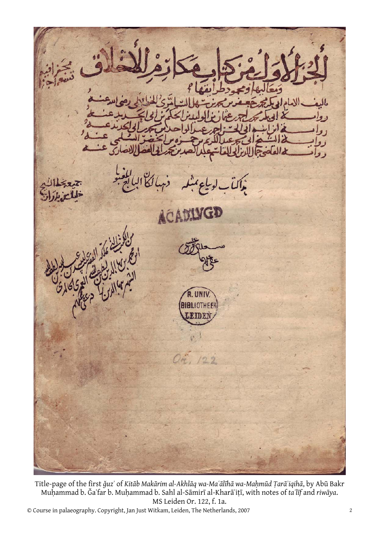ACA  $199$ 

Title-page of the first ğuz' of Kitāb Makārim al-Akhlāq wa-Ma'ālīhā wa-Maḥmūd Țarā'iqihā, by Abū Bakr Muḥammad b. Ǧaʿfar b. Muḥammad b. Sahl al-Sāmirī al-Kharāʾiṭī, with notes of *taʾlīf* and *riwāya*. MS Leiden Or. 122, f. 1a.

© Course in palaeography. Copyright, Jan Just Witkam, Leiden, The Netherlands, 2007 2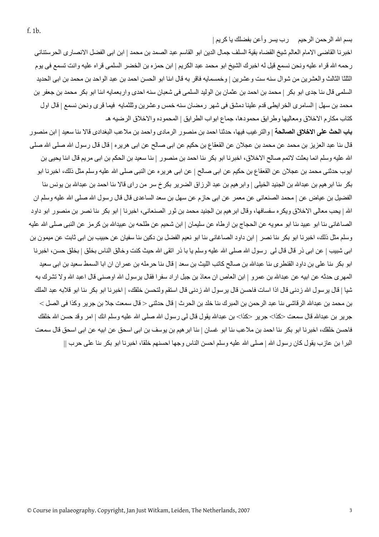بسم الله الرحمن الرحيم ورب يسر وأعن بفضلك يا كريم |

اخبرنا القاضى الامام العالم شيخ القضاه بقية السلف جمال الدين ابو القاسم عبد الصمد بن محمد | ابن ابى الفضل الانصارى الحرستنانى رحمه االله قراه عليه ونحن نسمع قيل له اخبرك الشيخ ابو محمد عبد الكريم | ابن حمزه بن الخضر السلمى قراه عليه وانت تسمع فى يوم الثلثا الثالث والعشرين من شوال سنه ست وعشرين | وخمسمايه فاقر به قال اԩنا ابو الحسن احمد بن عبد الواحد بن محمد بن ابى الحديد السلمى قال ىنا جدى ابو بكر | محمد بن احمد بن عثمان بن الوليد السلمى فى شعبان سنه احدى واربعمايه اىنا ابو بكر محمد بن جعفر بن محمد بن سهل | السامرى الخرايطى قدم علينا دمشق فى شهر رمضان سنه خمس وعشرين وثلثمايه فيما قرى ونحن نسمع | قال اول آتاب مكارم الاخلاق ومعاليها وطرايق محمودها، جماع ابواب الطرايق | المحموده والاخلاق الرضيه هـ

**باب الحث على الاخلاق الصالحة** | والترغيب فيها، حدثنا احمد بن منصور الرمادى واحمد بن ملاعب البغدادى قالا ԩنا سعيد | ابن منصور قال بنا عبد العزيز بن محمد عن محمد بن عجلان عن القعقاع بن حكيم عن ابى صالح عن ابى هريره | قال قال رسول الله صلى الله صلى الله عليه وسلم انما بعثت لاتمم صالح الاخلاق، اخبرنا ابو بكر بنا احمد بن منصور | بنا سعيد بن الحكم بن ابى مريم قال ابنا يحيى بن ايوب حدثنى محمد بن عجلان عن القعقاع بن حكيم عن ابى صالح | عن ابى هريره عن النبى صلى االله عليه وسلم مثل ذلك، اخبرنا ابو بكر بنا ابر هيم بن عبدالله بن الجنيد الخيلى | وابر هيم بن عبد الرزاق الضرير بكرخ سر من راى قالا بنا احمد بن عبدالله بن يونس بنا الفضيل بن عياض عن | محمد الصنعانى عن معمر عن ابى حازم عن سهل بن سعد الساعدى قال قال رسول االله صلى االله عليه وسلم ان الله | يحب معالى الاخلاق ويكره سفسافها، وقال ابر هيم بن الجنيد محمد بن ثور الصنعانى، اخبرنا | ابو بكر ىنا نصر بن منصور ابو داود الصاغاني ىنا ابو عبيد ىنا ابو معويه عن الحجاج بن ارطاه عن سليمان | ابن شحيم عن طلحه بن عبيدالله بن كرمز عن النبي صلى الله عليه وسلم مثل ذلك، اخبرنا ابو بكر ىنا نصر | ابن داود الصاغانى ىنا ابو نعيم الفضل بن دكين ىنا سفيان عن حبيب بن ابى ثابت عن ميمون بن ابي شبيب | عن ابي ذر قال قال لي رسول الله صلى الله عليه وسلم يا با ذر اتقى الله حيث كنت وخالق الناس بخلق | بخلق حسن، اخبرنا ابو بكر بنا على بن داود القنطرى بنا عبدالله بن صالح كاتب الليث بن سعد | قال بنا حرمله بن عمر ان ان ابا السمط سعيد بن ابى سعيد المهرى حدثه عن ابيه عن عبدالله بن عمر و | ابن العاص ان معاذ بن جبل ار اد سفر ا فقال ير سول الله او صنى قال اعبد الله و لا تشرك به شيا | قال يرسول الله زدنى قال اذا اسات فاحسن قال يرسول الله زدنى قال استقم ولتحسن خلقك، | اخبرنا ابو بكر بنا ابو قلابه عبد الملك بن محمد بن عبدالله الرقاشى بنا عبد الرحمن بن المبرك بنا خلد بن الحرث | قال حدثنى < قال سمعت جلا بن جرير وكذا فى الصل > جرير بن عبدالله قال سمعت <كذا> جرير <كذا> بن عبدالله يقول قال لى رسول الله صلى الله عليه وسلم انك | امر وقد حسن الله خلقك فاحسن خلقك، اخبرنا ابو بكر بنا احمد بن ملاعب بنا ابو غسان | بنا ابر هيم بن يوسف بن ابى اسحق عن ابيه عن ابى اسحق قال سمعت البرا بن عازب يقول كان رسول الله | صلى الله عليه وسلم احسن الناس وجها احسنهم خلقا، اخبرنا ابو بكر ىنا على حرب ||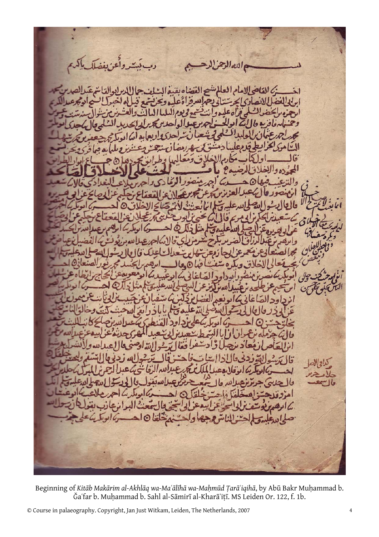دب بَسِتروأَعرَ بِفصَلَ بِإِلَهِم والله الرح بام العالم  $\frac{d}{dt}$  $~\prime~$ 

Beginning of Kitāb Makārim al-Akhlāq wa-Ma'ālīhā wa-Maḥmūd Ṭarā'iqihā, by Abū Bakr Muḥammad b. Ǧaʿfar b. Muḥammad b. Sahl al-Sāmirī al-Kharāʾiṭī. MS Leiden Or. 122, f. 1b.